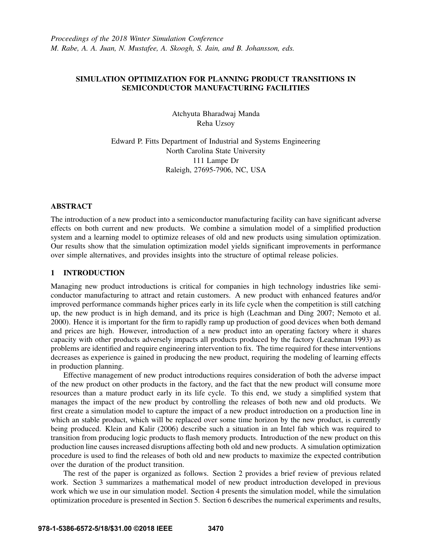# SIMULATION OPTIMIZATION FOR PLANNING PRODUCT TRANSITIONS IN SEMICONDUCTOR MANUFACTURING FACILITIES

Atchyuta Bharadwaj Manda Reha Uzsoy

Edward P. Fitts Department of Industrial and Systems Engineering North Carolina State University 111 Lampe Dr Raleigh, 27695-7906, NC, USA

## ABSTRACT

The introduction of a new product into a semiconductor manufacturing facility can have significant adverse effects on both current and new products. We combine a simulation model of a simplified production system and a learning model to optimize releases of old and new products using simulation optimization. Our results show that the simulation optimization model yields significant improvements in performance over simple alternatives, and provides insights into the structure of optimal release policies.

## 1 INTRODUCTION

Managing new product introductions is critical for companies in high technology industries like semiconductor manufacturing to attract and retain customers. A new product with enhanced features and/or improved performance commands higher prices early in its life cycle when the competition is still catching up, the new product is in high demand, and its price is high (Leachman and Ding 2007; Nemoto et al. 2000). Hence it is important for the firm to rapidly ramp up production of good devices when both demand and prices are high. However, introduction of a new product into an operating factory where it shares capacity with other products adversely impacts all products produced by the factory (Leachman 1993) as problems are identified and require engineering intervention to fix. The time required for these interventions decreases as experience is gained in producing the new product, requiring the modeling of learning effects in production planning.

Effective management of new product introductions requires consideration of both the adverse impact of the new product on other products in the factory, and the fact that the new product will consume more resources than a mature product early in its life cycle. To this end, we study a simplified system that manages the impact of the new product by controlling the releases of both new and old products. We first create a simulation model to capture the impact of a new product introduction on a production line in which an stable product, which will be replaced over some time horizon by the new product, is currently being produced. Klein and Kalir (2006) describe such a situation in an Intel fab which was required to transition from producing logic products to flash memory products. Introduction of the new product on this production line causes increased disruptions affecting both old and new products. A simulation optimization procedure is used to find the releases of both old and new products to maximize the expected contribution over the duration of the product transition.

The rest of the paper is organized as follows. Section 2 provides a brief review of previous related work. Section 3 summarizes a mathematical model of new product introduction developed in previous work which we use in our simulation model. Section 4 presents the simulation model, while the simulation optimization procedure is presented in Section 5. Section 6 describes the numerical experiments and results,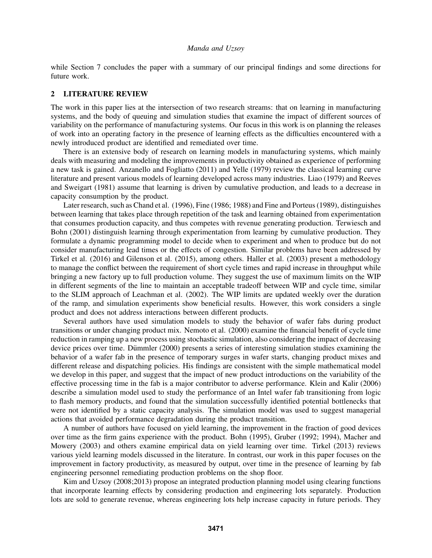while Section 7 concludes the paper with a summary of our principal findings and some directions for future work.

## 2 LITERATURE REVIEW

The work in this paper lies at the intersection of two research streams: that on learning in manufacturing systems, and the body of queuing and simulation studies that examine the impact of different sources of variability on the performance of manufacturing systems. Our focus in this work is on planning the releases of work into an operating factory in the presence of learning effects as the difficulties encountered with a newly introduced product are identified and remediated over time.

There is an extensive body of research on learning models in manufacturing systems, which mainly deals with measuring and modeling the improvements in productivity obtained as experience of performing a new task is gained. Anzanello and Fogliatto (2011) and Yelle (1979) review the classical learning curve literature and present various models of learning developed across many industries. Liao (1979) and Reeves and Sweigart (1981) assume that learning is driven by cumulative production, and leads to a decrease in capacity consumption by the product.

Later research, such as Chand et al. (1996), Fine (1986; 1988) and Fine and Porteus (1989), distinguishes between learning that takes place through repetition of the task and learning obtained from experimentation that consumes production capacity, and thus competes with revenue generating production. Terwiesch and Bohn (2001) distinguish learning through experimentation from learning by cumulative production. They formulate a dynamic programming model to decide when to experiment and when to produce but do not consider manufacturing lead times or the effects of congestion. Similar problems have been addressed by Tirkel et al. (2016) and Gilenson et al. (2015), among others. Haller et al. (2003) present a methodology to manage the conflict between the requirement of short cycle times and rapid increase in throughput while bringing a new factory up to full production volume. They suggest the use of maximum limits on the WIP in different segments of the line to maintain an acceptable tradeoff between WIP and cycle time, similar to the SLIM approach of Leachman et al. (2002). The WIP limits are updated weekly over the duration of the ramp, and simulation experiments show beneficial results. However, this work considers a single product and does not address interactions between different products.

Several authors have used simulation models to study the behavior of wafer fabs during product transitions or under changing product mix. Nemoto et al. (2000) examine the financial benefit of cycle time reduction in ramping up a new process using stochastic simulation, also considering the impact of decreasing device prices over time. Dümmler (2000) presents a series of interesting simulation studies examining the behavior of a wafer fab in the presence of temporary surges in wafer starts, changing product mixes and different release and dispatching policies. His findings are consistent with the simple mathematical model we develop in this paper, and suggest that the impact of new product introductions on the variability of the effective processing time in the fab is a major contributor to adverse performance. Klein and Kalir (2006) describe a simulation model used to study the performance of an Intel wafer fab transitioning from logic to flash memory products, and found that the simulation successfully identified potential bottlenecks that were not identified by a static capacity analysis. The simulation model was used to suggest managerial actions that avoided performance degradation during the product transition.

A number of authors have focused on yield learning, the improvement in the fraction of good devices over time as the firm gains experience with the product. Bohn (1995), Gruber (1992; 1994), Macher and Mowery (2003) and others examine empirical data on yield learning over time. Tirkel (2013) reviews various yield learning models discussed in the literature. In contrast, our work in this paper focuses on the improvement in factory productivity, as measured by output, over time in the presence of learning by fab engineering personnel remediating production problems on the shop floor.

Kim and Uzsoy (2008;2013) propose an integrated production planning model using clearing functions that incorporate learning effects by considering production and engineering lots separately. Production lots are sold to generate revenue, whereas engineering lots help increase capacity in future periods. They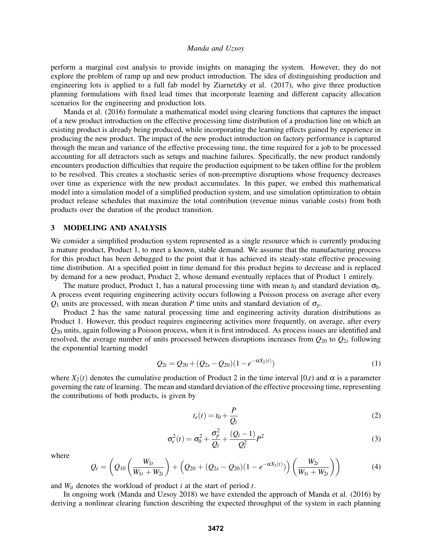perform a marginal cost analysis to provide insights on managing the system. However, they do not explore the problem of ramp up and new product introduction. The idea of distinguishing production and engineering lots is applied to a full fab model by Ziarnetzky et al. (2017), who give three production planning formulations with fixed lead times that incorporate learning and different capacity allocation scenarios for the engineering and production lots.

Manda et al. (2016) formulate a mathematical model using clearing functions that captures the impact of a new product introduction on the effective processing time distribution of a production line on which an existing product is already being produced, while incorporating the learning effects gained by experience in producing the new product. The impact of the new product introduction on factory performance is captured through the mean and variance of the effective processing time, the time required for a job to be processed accounting for all detractors such as setups and machine failures. Specifically, the new product randomly encounters production difficulties that require the production equipment to be taken offline for the problem to be resolved. This creates a stochastic series of non-preemptive disruptions whose frequency decreases over time as experience with the new product accumulates. In this paper, we embed this mathematical model into a simulation model of a simplified production system, and use simulation optimization to obtain product release schedules that maximize the total contribution (revenue minus variable costs) from both products over the duration of the product transition.

### 3 MODELING AND ANALYSIS

We consider a simplified production system represented as a single resource which is currently producing a mature product, Product 1, to meet a known, stable demand. We assume that the manufacturing process for this product has been debugged to the point that it has achieved its steady-state effective processing time distribution. At a specified point in time demand for this product begins to decrease and is replaced by demand for a new product, Product 2, whose demand eventually replaces that of Product 1 entirely.

The mature product, Product 1, has a natural processing time with mean  $t_0$  and standard deviation  $\sigma_0$ . A process event requiring engineering activity occurs following a Poisson process on average after every *Q*<sup>1</sup> units are processed, with mean duration *P* time units and standard deviation of σ*p*.

Product 2 has the same natural processing time and engineering activity duration distributions as Product 1. However, this product requires engineering activities more frequently, on average, after every *Q*<sup>20</sup> units, again following a Poisson process, when it is first introduced. As process issues are identified and resolved, the average number of units processed between disruptions increases from *Q*<sup>20</sup> to *Q*2*<sup>s</sup>* following the exponential learning model

$$
Q_{2t} = Q_{20} + (Q_{2s} - Q_{20})(1 - e^{-\alpha X_2(t)})
$$
\n(1)

where  $X_2(t)$  denotes the cumulative production of Product 2 in the time interval [0,*t*) and  $\alpha$  is a parameter governing the rate of learning. The mean and standard deviation of the effective processing time, representing the contributions of both products, is given by

$$
t_e(t) = t_0 + \frac{P}{Q_t}
$$
 (2)

$$
\sigma_e^2(t) = \sigma_0^2 + \frac{\sigma_p^2}{Q_t} + \frac{(Q_t - 1)}{Q_t^2} P^2
$$
\n(3)

where

$$
Q_t = \left(Q_{10}\left(\frac{W_{1t}}{W_{1t} + W_{2t}}\right) + \left(Q_{20} + (Q_{2s} - Q_{20})(1 - e^{-\alpha X_2(t)})\right)\left(\frac{W_{2t}}{W_{1t} + W_{2t}}\right)\right)
$$
(4)

and *Wit* denotes the workload of product *i* at the start of period *t*.

In ongoing work (Manda and Uzsoy 2018) we have extended the approach of Manda et al. (2016) by deriving a nonlinear clearing function describing the expected throughput of the system in each planning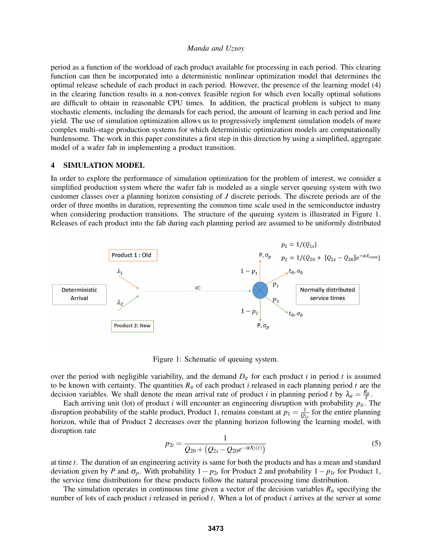period as a function of the workload of each product available for processing in each period. This clearing function can then be incorporated into a deterministic nonlinear optimization model that determines the optimal release schedule of each product in each period. However, the presence of the learning model (4) in the clearing function results in a non-convex feasible region for which even locally optimal solutions are difficult to obtain in reasonable CPU times. In addition, the practical problem is subject to many stochastic elements, including the demands for each period, the amount of learning in each period and line yield. The use of simulation optimization allows us to progressively implement simulation models of more complex multi-stage production systems for which deterministic optimization models are computationally burdensome. The work in this paper constitutes a first step in this direction by using a simplified, aggregate model of a wafer fab in implementing a product transition.

### 4 SIMULATION MODEL

In order to explore the performance of simulation optimization for the problem of interest, we consider a simplified production system where the wafer fab is modeled as a single server queuing system with two customer classes over a planning horizon consisting of *J* discrete periods. The discrete periods are of the order of three months in duration, representing the common time scale used in the semiconductor industry when considering production transitions. The structure of the queuing system is illustrated in Figure 1. Releases of each product into the fab during each planning period are assumed to be uniformly distributed



Figure 1: Schematic of queuing system.

over the period with negligible variability, and the demand  $D_{it}$  for each product *i* in period *t* is assumed to be known with certainty. The quantities  $R<sub>it</sub>$  of each product *i* released in each planning period *t* are the decision variables. We shall denote the mean arrival rate of product *i* in planning period *t* by  $\lambda_{it} = \frac{R_{it}}{T}$ .

Each arriving unit (lot) of product *i* will encounter an engineering disruption with probability  $p_{it}$ . The disruption probability of the stable product, Product 1, remains constant at  $p_1 = \frac{1}{Q_{1s}}$  for the entire planning horizon, while that of Product 2 decreases over the planning horizon following the learning model, with disruption rate

$$
p_{2t} = \frac{1}{Q_{20} + (Q_{2s} - Q_{20}e^{-\alpha X_2(t)})}
$$
\n<sup>(5)</sup>

at time *t*. The duration of an engineering activity is same for both the products and has a mean and standard deviation given by *P* and  $\sigma_p$ . With probability 1 –  $p_{2t}$  for Product 2 and probability 1 –  $p_{1t}$  for Product 1, the service time distributions for these products follow the natural processing time distribution.

The simulation operates in continuous time given a vector of the decision variables  $R<sub>it</sub>$  specifying the number of lots of each product *i* released in period *t*. When a lot of product *i* arrives at the server at some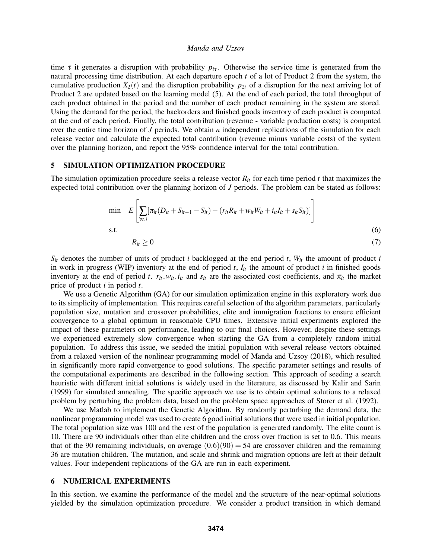time  $\tau$  it generates a disruption with probability  $p_{i\tau}$ . Otherwise the service time is generated from the natural processing time distribution. At each departure epoch *t* of a lot of Product 2 from the system, the cumulative production  $X_2(t)$  and the disruption probability  $p_{2t}$  of a disruption for the next arriving lot of Product 2 are updated based on the learning model (5). At the end of each period, the total throughput of each product obtained in the period and the number of each product remaining in the system are stored. Using the demand for the period, the backorders and finished goods inventory of each product is computed at the end of each period. Finally, the total contribution (revenue - variable production costs) is computed over the entire time horizon of *J* periods. We obtain *n* independent replications of the simulation for each release vector and calculate the expected total contribution (revenue minus variable costs) of the system over the planning horizon, and report the 95% confidence interval for the total contribution.

#### 5 SIMULATION OPTIMIZATION PROCEDURE

The simulation optimization procedure seeks a release vector  $R<sub>it</sub>$  for each time period *t* that maximizes the expected total contribution over the planning horizon of *J* periods. The problem can be stated as follows:

$$
\min \quad E\left[\sum_{\forall t,i}[\pi_{it}(D_{it}+S_{it-1}-S_{it})-(r_{it}R_{it}+w_{it}W_{it}+i_{it}I_{it}+s_{it}S_{it})]\right]
$$
\ns.t.\n
$$
R_{it} \ge 0
$$
\n(6)

 $S_{it}$  denotes the number of units of product *i* backlogged at the end period *t*,  $W_{it}$  the amount of product *i* in work in progress (WIP) inventory at the end of period  $t$ ,  $I_{it}$  the amount of product  $i$  in finished goods inventory at the end of period *t*.  $r_{it}$ ,  $w_{it}$ ,  $i_{it}$  and  $s_{it}$  are the associated cost coefficients, and  $\pi_{it}$  the market price of product *i* in period *t*.

We use a Genetic Algorithm (GA) for our simulation optimization engine in this exploratory work due to its simplicity of implementation. This requires careful selection of the algorithm parameters, particularly population size, mutation and crossover probabilities, elite and immigration fractions to ensure efficient convergence to a global optimum in reasonable CPU times. Extensive initial experiments explored the impact of these parameters on performance, leading to our final choices. However, despite these settings we experienced extremely slow convergence when starting the GA from a completely random initial population. To address this issue, we seeded the initial population with several release vectors obtained from a relaxed version of the nonlinear programming model of Manda and Uzsoy (2018), which resulted in significantly more rapid convergence to good solutions. The specific parameter settings and results of the computational experiments are described in the following section. This approach of seeding a search heuristic with different initial solutions is widely used in the literature, as discussed by Kalir and Sarin (1999) for simulated annealing. The specific approach we use is to obtain optimal solutions to a relaxed problem by perturbing the problem data, based on the problem space approaches of Storer et al. (1992).

We use Matlab to implement the Genetic Algorithm. By randomly perturbing the demand data, the nonlinear programming model was used to create 6 good initial solutions that were used in initial population. The total population size was 100 and the rest of the population is generated randomly. The elite count is 10. There are 90 individuals other than elite children and the cross over fraction is set to 0.6. This means that of the 90 remaining individuals, on average  $(0.6)(90) = 54$  are crossover children and the remaining 36 are mutation children. The mutation, and scale and shrink and migration options are left at their default values. Four independent replications of the GA are run in each experiment.

### 6 NUMERICAL EXPERIMENTS

In this section, we examine the performance of the model and the structure of the near-optimal solutions yielded by the simulation optimization procedure. We consider a product transition in which demand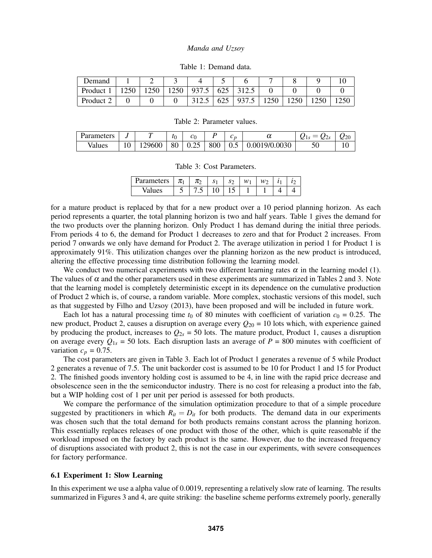| Demand    | -    |      |       |     |       |      |      |  |
|-----------|------|------|-------|-----|-------|------|------|--|
| Product   | 1250 | 1250 | 937.5 | 625 | 312.5 |      |      |  |
| Product 2 |      |      | 312.5 | 625 | 937.5 | 1250 | 1250 |  |

Table 1: Demand data.

Table 2: Parameter values.

| Parameters |       | $\iota_0$ | .                     |     | ⌒<br>◡        | u             | ~<br>درے سک<br> | חרי<br>∼∼ |
|------------|-------|-----------|-----------------------|-----|---------------|---------------|-----------------|-----------|
| Values     | 29600 | 80        | $\sim$ $\sim$<br>U.ZJ | 800 | $\sim$<br>0.5 | 0.0019/0.0030 | σU              | ╰         |

Table 3: Cost Parameters.

| Parameters | π | π   | S | $\mathbf{S}$<br>ມ             | w |  |  |
|------------|---|-----|---|-------------------------------|---|--|--|
| Values     | ت | ن ، | ັ | -<br>$\overline{\phantom{0}}$ |   |  |  |

for a mature product is replaced by that for a new product over a 10 period planning horizon. As each period represents a quarter, the total planning horizon is two and half years. Table 1 gives the demand for the two products over the planning horizon. Only Product 1 has demand during the initial three periods. From periods 4 to 6, the demand for Product 1 decreases to zero and that for Product 2 increases. From period 7 onwards we only have demand for Product 2. The average utilization in period 1 for Product 1 is approximately 91%. This utilization changes over the planning horizon as the new product is introduced, altering the effective processing time distribution following the learning model.

We conduct two numerical experiments with two different learning rates  $\alpha$  in the learning model (1). The values of  $\alpha$  and the other parameters used in these experiments are summarized in Tables 2 and 3. Note that the learning model is completely deterministic except in its dependence on the cumulative production of Product 2 which is, of course, a random variable. More complex, stochastic versions of this model, such as that suggested by Filho and Uzsoy (2013), have been proposed and will be included in future work.

Each lot has a natural processing time  $t_0$  of 80 minutes with coefficient of variation  $c_0 = 0.25$ . The new product, Product 2, causes a disruption on average every  $Q_{20} = 10$  lots which, with experience gained by producing the product, increases to  $Q_{2s} = 50$  lots. The mature product, Product 1, causes a disruption on average every  $Q_{1s} = 50$  lots. Each disruption lasts an average of  $P = 800$  minutes with coefficient of variation  $c_p = 0.75$ .

The cost parameters are given in Table 3. Each lot of Product 1 generates a revenue of 5 while Product 2 generates a revenue of 7.5. The unit backorder cost is assumed to be 10 for Product 1 and 15 for Product 2. The finished goods inventory holding cost is assumed to be 4, in line with the rapid price decrease and obsolescence seen in the the semiconductor industry. There is no cost for releasing a product into the fab, but a WIP holding cost of 1 per unit per period is assessed for both products.

We compare the performance of the simulation optimization procedure to that of a simple procedure suggested by practitioners in which  $R_{it} = D_{it}$  for both products. The demand data in our experiments was chosen such that the total demand for both products remains constant across the planning horizon. This essentially replaces releases of one product with those of the other, which is quite reasonable if the workload imposed on the factory by each product is the same. However, due to the increased frequency of disruptions associated with product 2, this is not the case in our experiments, with severe consequences for factory performance.

### 6.1 Experiment 1: Slow Learning

In this experiment we use a alpha value of 0.0019, representing a relatively slow rate of learning. The results summarized in Figures 3 and 4, are quite striking: the baseline scheme performs extremely poorly, generally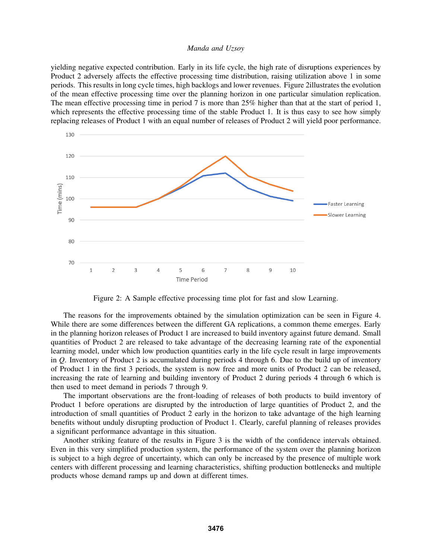yielding negative expected contribution. Early in its life cycle, the high rate of disruptions experiences by Product 2 adversely affects the effective processing time distribution, raising utilization above 1 in some periods. This results in long cycle times, high backlogs and lower revenues. Figure 2illustrates the evolution of the mean effective processing time over the planning horizon in one particular simulation replication. The mean effective processing time in period 7 is more than 25% higher than that at the start of period 1, which represents the effective processing time of the stable Product 1. It is thus easy to see how simply replacing releases of Product 1 with an equal number of releases of Product 2 will yield poor performance.



Figure 2: A Sample effective processing time plot for fast and slow Learning.

The reasons for the improvements obtained by the simulation optimization can be seen in Figure 4. While there are some differences between the different GA replications, a common theme emerges. Early in the planning horizon releases of Product 1 are increased to build inventory against future demand. Small quantities of Product 2 are released to take advantage of the decreasing learning rate of the exponential learning model, under which low production quantities early in the life cycle result in large improvements in *Q*. Inventory of Product 2 is accumulated during periods 4 through 6. Due to the build up of inventory of Product 1 in the first 3 periods, the system is now free and more units of Product 2 can be released, increasing the rate of learning and building inventory of Product 2 during periods 4 through 6 which is then used to meet demand in periods 7 through 9.

The important observations are the front-loading of releases of both products to build inventory of Product 1 before operations are disrupted by the introduction of large quantities of Product 2, and the introduction of small quantities of Product 2 early in the horizon to take advantage of the high learning benefits without unduly disrupting production of Product 1. Clearly, careful planning of releases provides a significant performance advantage in this situation.

Another striking feature of the results in Figure 3 is the width of the confidence intervals obtained. Even in this very simplified production system, the performance of the system over the planning horizon is subject to a high degree of uncertainty, which can only be increased by the presence of multiple work centers with different processing and learning characteristics, shifting production bottlenecks and multiple products whose demand ramps up and down at different times.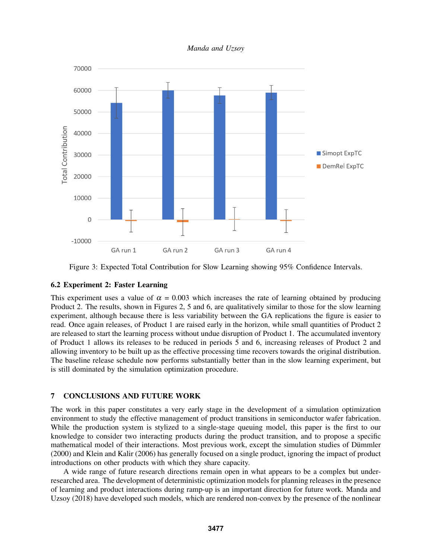*Manda and Uzsoy*



Figure 3: Expected Total Contribution for Slow Learning showing 95% Confidence Intervals.

## 6.2 Experiment 2: Faster Learning

This experiment uses a value of  $\alpha = 0.003$  which increases the rate of learning obtained by producing Product 2. The results, shown in Figures 2, 5 and 6, are qualitatively similar to those for the slow learning experiment, although because there is less variability between the GA replications the figure is easier to read. Once again releases, of Product 1 are raised early in the horizon, while small quantities of Product 2 are released to start the learning process without undue disruption of Product 1. The accumulated inventory of Product 1 allows its releases to be reduced in periods 5 and 6, increasing releases of Product 2 and allowing inventory to be built up as the effective processing time recovers towards the original distribution. The baseline release schedule now performs substantially better than in the slow learning experiment, but is still dominated by the simulation optimization procedure.

# 7 CONCLUSIONS AND FUTURE WORK

The work in this paper constitutes a very early stage in the development of a simulation optimization environment to study the effective management of product transitions in semiconductor wafer fabrication. While the production system is stylized to a single-stage queuing model, this paper is the first to our knowledge to consider two interacting products during the product transition, and to propose a specific mathematical model of their interactions. Most previous work, except the simulation studies of Dümmler (2000) and Klein and Kalir (2006) has generally focused on a single product, ignoring the impact of product introductions on other products with which they share capacity.

A wide range of future research directions remain open in what appears to be a complex but underresearched area. The development of deterministic optimization models for planning releases in the presence of learning and product interactions during ramp-up is an important direction for future work. Manda and Uzsoy (2018) have developed such models, which are rendered non-convex by the presence of the nonlinear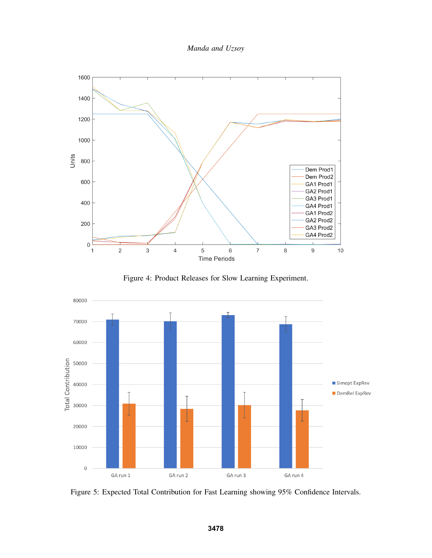*Manda and Uzsoy*



Figure 4: Product Releases for Slow Learning Experiment.



Figure 5: Expected Total Contribution for Fast Learning showing 95% Confidence Intervals.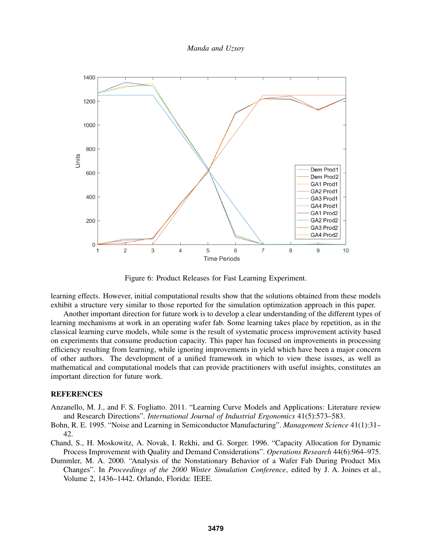*Manda and Uzsoy*



Figure 6: Product Releases for Fast Learning Experiment.

learning effects. However, initial computational results show that the solutions obtained from these models exhibit a structure very similar to those reported for the simulation optimization approach in this paper.

Another important direction for future work is to develop a clear understanding of the different types of learning mechanisms at work in an operating wafer fab. Some learning takes place by repetition, as in the classical learning curve models, while some is the result of systematic process improvement activity based on experiments that consume production capacity. This paper has focused on improvements in processing efficiency resulting from learning, while ignoring improvements in yield which have been a major concern of other authors. The development of a unified framework in which to view these issues, as well as mathematical and computational models that can provide practitioners with useful insights, constitutes an important direction for future work.

## **REFERENCES**

- Anzanello, M. J., and F. S. Fogliatto. 2011. "Learning Curve Models and Applications: Literature review and Research Directions". *International Journal of Industrial Ergonomics* 41(5):573–583.
- Bohn, R. E. 1995. "Noise and Learning in Semiconductor Manufacturing". *Management Science* 41(1):31– 42.
- Chand, S., H. Moskowitz, A. Novak, I. Rekhi, and G. Sorger. 1996. "Capacity Allocation for Dynamic Process Improvement with Quality and Demand Considerations". *Operations Research* 44(6):964–975.
- Dummler, M. A. 2000. "Analysis of the Nonstationary Behavior of a Wafer Fab During Product Mix Changes". In *Proceedings of the 2000 Winter Simulation Conference*, edited by J. A. Joines et al., Volume 2, 1436–1442. Orlando, Florida: IEEE.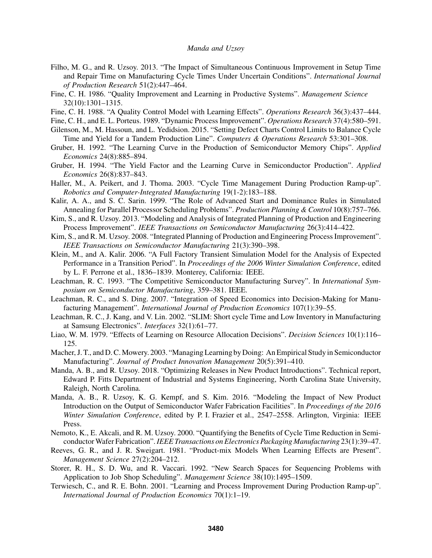- Filho, M. G., and R. Uzsoy. 2013. "The Impact of Simultaneous Continuous Improvement in Setup Time and Repair Time on Manufacturing Cycle Times Under Uncertain Conditions". *International Journal of Production Research* 51(2):447–464.
- Fine, C. H. 1986. "Quality Improvement and Learning in Productive Systems". *Management Science* 32(10):1301–1315.
- Fine, C. H. 1988. "A Quality Control Model with Learning Effects". *Operations Research* 36(3):437–444.
- Fine, C. H., and E. L. Porteus. 1989. "Dynamic Process Improvement". *Operations Research* 37(4):580–591.
- Gilenson, M., M. Hassoun, and L. Yedidsion. 2015. "Setting Defect Charts Control Limits to Balance Cycle Time and Yield for a Tandem Production Line". *Computers & Operations Research* 53:301–308.
- Gruber, H. 1992. "The Learning Curve in the Production of Semiconductor Memory Chips". *Applied Economics* 24(8):885–894.
- Gruber, H. 1994. "The Yield Factor and the Learning Curve in Semiconductor Production". *Applied Economics* 26(8):837–843.
- Haller, M., A. Peikert, and J. Thoma. 2003. "Cycle Time Management During Production Ramp-up". *Robotics and Computer-Integrated Manufacturing* 19(1-2):183–188.
- Kalir, A. A., and S. C. Sarin. 1999. "The Role of Advanced Start and Dominance Rules in Simulated Annealing for Parallel Processor Scheduling Problems". *Production Planning & Control* 10(8):757–766.
- Kim, S., and R. Uzsoy. 2013. "Modeling and Analysis of Integrated Planning of Production and Engineering Process Improvement". *IEEE Transactions on Semiconductor Manufacturing* 26(3):414–422.
- Kim, S., and R. M. Uzsoy. 2008. "Integrated Planning of Production and Engineering Process Improvement". *IEEE Transactions on Semiconductor Manufacturing* 21(3):390–398.
- Klein, M., and A. Kalir. 2006. "A Full Factory Transient Simulation Model for the Analysis of Expected Performance in a Transition Period". In *Proceedings of the 2006 Winter Simulation Conference*, edited by L. F. Perrone et al., 1836–1839. Monterey, California: IEEE.
- Leachman, R. C. 1993. "The Competitive Semiconductor Manufacturing Survey". In *International Symposium on Semiconductor Manufacturing*, 359–381. IEEE.
- Leachman, R. C., and S. Ding. 2007. "Integration of Speed Economics into Decision-Making for Manufacturing Management". *International Journal of Production Economics* 107(1):39–55.
- Leachman, R. C., J. Kang, and V. Lin. 2002. "SLIM: Short cycle Time and Low Inventory in Manufacturing at Samsung Electronics". *Interfaces* 32(1):61–77.
- Liao, W. M. 1979. "Effects of Learning on Resource Allocation Decisions". *Decision Sciences* 10(1):116– 125.
- Macher, J. T., and D. C. Mowery. 2003. "Managing Learning by Doing: An Empirical Study in Semiconductor Manufacturing". *Journal of Product Innovation Management* 20(5):391–410.
- Manda, A. B., and R. Uzsoy. 2018. "Optimizing Releases in New Product Introductions". Technical report, Edward P. Fitts Department of Industrial and Systems Engineering, North Carolina State University, Raleigh, North Carolina.
- Manda, A. B., R. Uzsoy, K. G. Kempf, and S. Kim. 2016. "Modeling the Impact of New Product Introduction on the Output of Semiconductor Wafer Fabrication Facilities". In *Proceedings of the 2016 Winter Simulation Conference*, edited by P. I. Frazier et al., 2547–2558. Arlington, Virginia: IEEE Press.
- Nemoto, K., E. Akcali, and R. M. Uzsoy. 2000. "Quantifying the Benefits of Cycle Time Reduction in SemiconductorWafer Fabrication".*IEEE Transactions on Electronics Packaging Manufacturing* 23(1):39–47.
- Reeves, G. R., and J. R. Sweigart. 1981. "Product-mix Models When Learning Effects are Present". *Management Science* 27(2):204–212.
- Storer, R. H., S. D. Wu, and R. Vaccari. 1992. "New Search Spaces for Sequencing Problems with Application to Job Shop Scheduling". *Management Science* 38(10):1495–1509.
- Terwiesch, C., and R. E. Bohn. 2001. "Learning and Process Improvement During Production Ramp-up". *International Journal of Production Economics* 70(1):1–19.